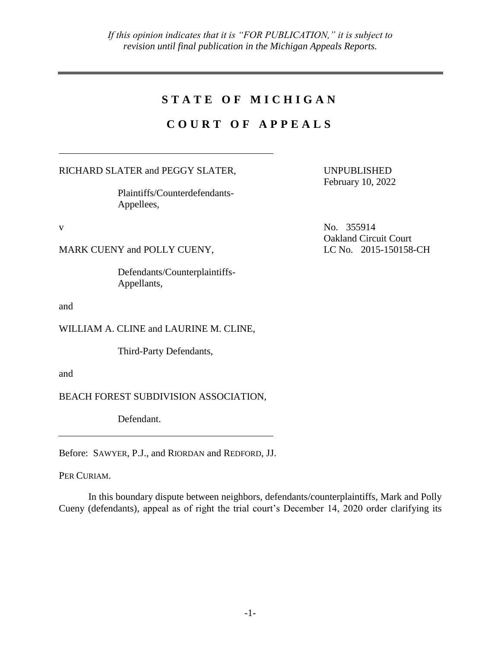# STATE OF MICHIGAN

# **C O U R T O F A P P E A L S**

RICHARD SLATER and PEGGY SLATER,

Plaintiffs/Counterdefendants-Appellees,

MARK CUENY and POLLY CUENY, LC No. 2015-150158-CH

Defendants/Counterplaintiffs-Appellants,

and

WILLIAM A. CLINE and LAURINE M. CLINE,

Third-Party Defendants,

and

BEACH FOREST SUBDIVISION ASSOCIATION,

Defendant.

Before: SAWYER, P.J., and RIORDAN and REDFORD, JJ.

PER CURIAM.

In this boundary dispute between neighbors, defendants/counterplaintiffs, Mark and Polly Cueny (defendants), appeal as of right the trial court's December 14, 2020 order clarifying its

UNPUBLISHED February 10, 2022

v No. 355914 Oakland Circuit Court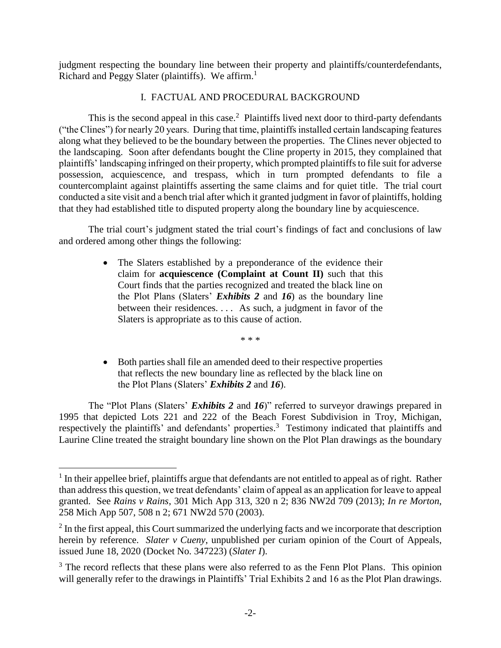judgment respecting the boundary line between their property and plaintiffs/counterdefendants, Richard and Peggy Slater (plaintiffs). We affirm. $<sup>1</sup>$ </sup>

## I. FACTUAL AND PROCEDURAL BACKGROUND

This is the second appeal in this case.<sup>2</sup> Plaintiffs lived next door to third-party defendants ("the Clines") for nearly 20 years. During that time, plaintiffs installed certain landscaping features along what they believed to be the boundary between the properties. The Clines never objected to the landscaping. Soon after defendants bought the Cline property in 2015, they complained that plaintiffs' landscaping infringed on their property, which prompted plaintiffs to file suit for adverse possession, acquiescence, and trespass, which in turn prompted defendants to file a countercomplaint against plaintiffs asserting the same claims and for quiet title. The trial court conducted a site visit and a bench trial after which it granted judgment in favor of plaintiffs, holding that they had established title to disputed property along the boundary line by acquiescence.

The trial court's judgment stated the trial court's findings of fact and conclusions of law and ordered among other things the following:

> • The Slaters established by a preponderance of the evidence their claim for **acquiescence (Complaint at Count II)** such that this Court finds that the parties recognized and treated the black line on the Plot Plans (Slaters' *Exhibits 2* and *16*) as the boundary line between their residences. . . . As such, a judgment in favor of the Slaters is appropriate as to this cause of action.

> > \* \* \*

 Both parties shall file an amended deed to their respective properties that reflects the new boundary line as reflected by the black line on the Plot Plans (Slaters' *Exhibits 2* and *16*).

The "Plot Plans (Slaters' *Exhibits 2* and *16*)" referred to surveyor drawings prepared in 1995 that depicted Lots 221 and 222 of the Beach Forest Subdivision in Troy, Michigan, respectively the plaintiffs' and defendants' properties.<sup>3</sup> Testimony indicated that plaintiffs and Laurine Cline treated the straight boundary line shown on the Plot Plan drawings as the boundary

 $\overline{a}$ 

<sup>&</sup>lt;sup>1</sup> In their appellee brief, plaintiffs argue that defendants are not entitled to appeal as of right. Rather than addressthis question, we treat defendants' claim of appeal as an application for leave to appeal granted. See *Rains v Rains*, 301 Mich App 313, 320 n 2; 836 NW2d 709 (2013); *In re Morton*, 258 Mich App 507, 508 n 2; 671 NW2d 570 (2003).

 $2$  In the first appeal, this Court summarized the underlying facts and we incorporate that description herein by reference. *Slater v Cueny*, unpublished per curiam opinion of the Court of Appeals, issued June 18, 2020 (Docket No. 347223) (*Slater I*).

 $3$  The record reflects that these plans were also referred to as the Fenn Plot Plans. This opinion will generally refer to the drawings in Plaintiffs' Trial Exhibits 2 and 16 as the Plot Plan drawings.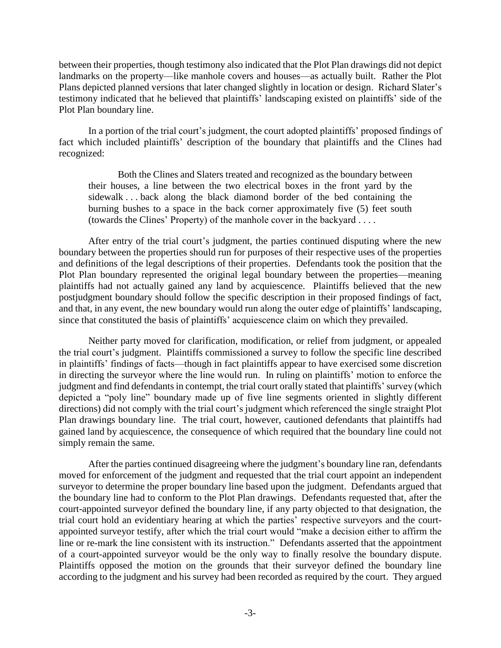between their properties, though testimony also indicated that the Plot Plan drawings did not depict landmarks on the property—like manhole covers and houses—as actually built. Rather the Plot Plans depicted planned versions that later changed slightly in location or design. Richard Slater's testimony indicated that he believed that plaintiffs' landscaping existed on plaintiffs' side of the Plot Plan boundary line.

In a portion of the trial court's judgment, the court adopted plaintiffs' proposed findings of fact which included plaintiffs' description of the boundary that plaintiffs and the Clines had recognized:

Both the Clines and Slaters treated and recognized as the boundary between their houses, a line between the two electrical boxes in the front yard by the sidewalk . . . back along the black diamond border of the bed containing the burning bushes to a space in the back corner approximately five (5) feet south (towards the Clines' Property) of the manhole cover in the backyard . . . .

After entry of the trial court's judgment, the parties continued disputing where the new boundary between the properties should run for purposes of their respective uses of the properties and definitions of the legal descriptions of their properties. Defendants took the position that the Plot Plan boundary represented the original legal boundary between the properties—meaning plaintiffs had not actually gained any land by acquiescence. Plaintiffs believed that the new postjudgment boundary should follow the specific description in their proposed findings of fact, and that, in any event, the new boundary would run along the outer edge of plaintiffs' landscaping, since that constituted the basis of plaintiffs' acquiescence claim on which they prevailed.

Neither party moved for clarification, modification, or relief from judgment, or appealed the trial court's judgment. Plaintiffs commissioned a survey to follow the specific line described in plaintiffs' findings of facts—though in fact plaintiffs appear to have exercised some discretion in directing the surveyor where the line would run. In ruling on plaintiffs' motion to enforce the judgment and find defendants in contempt, the trial court orally stated that plaintiffs' survey (which depicted a "poly line" boundary made up of five line segments oriented in slightly different directions) did not comply with the trial court's judgment which referenced the single straight Plot Plan drawings boundary line. The trial court, however, cautioned defendants that plaintiffs had gained land by acquiescence, the consequence of which required that the boundary line could not simply remain the same.

After the parties continued disagreeing where the judgment's boundary line ran, defendants moved for enforcement of the judgment and requested that the trial court appoint an independent surveyor to determine the proper boundary line based upon the judgment. Defendants argued that the boundary line had to conform to the Plot Plan drawings. Defendants requested that, after the court-appointed surveyor defined the boundary line, if any party objected to that designation, the trial court hold an evidentiary hearing at which the parties' respective surveyors and the courtappointed surveyor testify, after which the trial court would "make a decision either to affirm the line or re-mark the line consistent with its instruction." Defendants asserted that the appointment of a court-appointed surveyor would be the only way to finally resolve the boundary dispute. Plaintiffs opposed the motion on the grounds that their surveyor defined the boundary line according to the judgment and his survey had been recorded as required by the court. They argued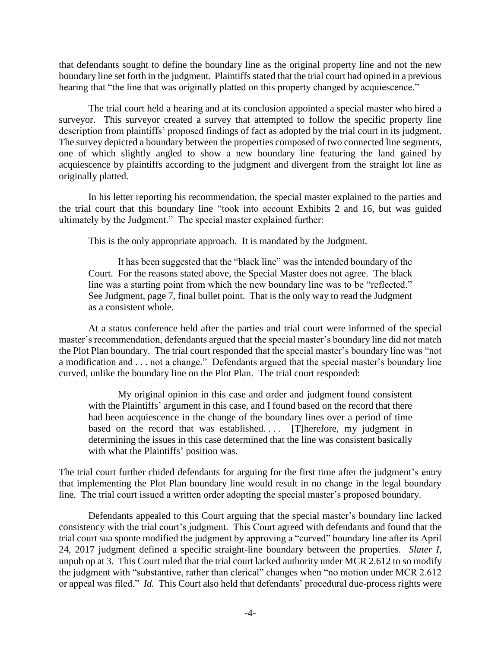that defendants sought to define the boundary line as the original property line and not the new boundary line set forth in the judgment. Plaintiffs stated that the trial court had opined in a previous hearing that "the line that was originally platted on this property changed by acquiescence."

The trial court held a hearing and at its conclusion appointed a special master who hired a surveyor. This surveyor created a survey that attempted to follow the specific property line description from plaintiffs' proposed findings of fact as adopted by the trial court in its judgment. The survey depicted a boundary between the properties composed of two connected line segments, one of which slightly angled to show a new boundary line featuring the land gained by acquiescence by plaintiffs according to the judgment and divergent from the straight lot line as originally platted.

In his letter reporting his recommendation, the special master explained to the parties and the trial court that this boundary line "took into account Exhibits 2 and 16, but was guided ultimately by the Judgment." The special master explained further:

This is the only appropriate approach. It is mandated by the Judgment.

It has been suggested that the "black line" was the intended boundary of the Court. For the reasons stated above, the Special Master does not agree. The black line was a starting point from which the new boundary line was to be "reflected." See Judgment, page 7, final bullet point. That is the only way to read the Judgment as a consistent whole.

At a status conference held after the parties and trial court were informed of the special master's recommendation, defendants argued that the special master's boundary line did not match the Plot Plan boundary. The trial court responded that the special master's boundary line was "not a modification and . . . not a change." Defendants argued that the special master's boundary line curved, unlike the boundary line on the Plot Plan. The trial court responded:

My original opinion in this case and order and judgment found consistent with the Plaintiffs' argument in this case, and I found based on the record that there had been acquiescence in the change of the boundary lines over a period of time based on the record that was established.... [T]herefore, my judgment in determining the issues in this case determined that the line was consistent basically with what the Plaintiffs' position was.

The trial court further chided defendants for arguing for the first time after the judgment's entry that implementing the Plot Plan boundary line would result in no change in the legal boundary line. The trial court issued a written order adopting the special master's proposed boundary.

Defendants appealed to this Court arguing that the special master's boundary line lacked consistency with the trial court's judgment. This Court agreed with defendants and found that the trial court sua sponte modified the judgment by approving a "curved" boundary line after its April 24, 2017 judgment defined a specific straight-line boundary between the properties. *Slater I*, unpub op at 3. This Court ruled that the trial court lacked authority under MCR 2.612 to so modify the judgment with "substantive, rather than clerical" changes when "no motion under MCR 2.612 or appeal was filed." *Id.* This Court also held that defendants' procedural due-process rights were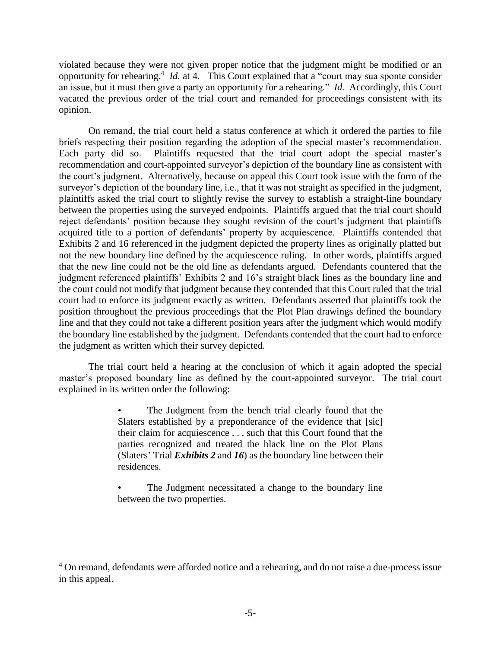violated because they were not given proper notice that the judgment might be modified or an opportunity for rehearing.<sup>4</sup> *Id.* at 4. This Court explained that a "court may sua sponte consider an issue, but it must then give a party an opportunity for a rehearing." *Id.* Accordingly, this Court vacated the previous order of the trial court and remanded for proceedings consistent with its opinion.

On remand, the trial court held a status conference at which it ordered the parties to file briefs respecting their position regarding the adoption of the special master's recommendation. Each party did so. Plaintiffs requested that the trial court adopt the special master's recommendation and court-appointed surveyor's depiction of the boundary line as consistent with the court's judgment. Alternatively, because on appeal this Court took issue with the form of the surveyor's depiction of the boundary line, i.e., that it was not straight as specified in the judgment, plaintiffs asked the trial court to slightly revise the survey to establish a straight-line boundary between the properties using the surveyed endpoints. Plaintiffs argued that the trial court should reject defendants' position because they sought revision of the court's judgment that plaintiffs acquired title to a portion of defendants' property by acquiescence. Plaintiffs contended that Exhibits 2 and 16 referenced in the judgment depicted the property lines as originally platted but not the new boundary line defined by the acquiescence ruling. In other words, plaintiffs argued that the new line could not be the old line as defendants argued. Defendants countered that the judgment referenced plaintiffs' Exhibits 2 and 16's straight black lines as the boundary line and the court could not modify that judgment because they contended that this Court ruled that the trial court had to enforce its judgment exactly as written. Defendants asserted that plaintiffs took the position throughout the previous proceedings that the Plot Plan drawings defined the boundary line and that they could not take a different position years after the judgment which would modify the boundary line established by the judgment. Defendants contended that the court had to enforce the judgment as written which their survey depicted.

The trial court held a hearing at the conclusion of which it again adopted the special master's proposed boundary line as defined by the court-appointed surveyor. The trial court explained in its written order the following:

> The Judgment from the bench trial clearly found that the Slaters established by a preponderance of the evidence that [sic] their claim for acquiescence . . . such that this Court found that the parties recognized and treated the black line on the Plot Plans (Slaters' Trial *Exhibits 2* and *16*) as the boundary line between their residences.

> The Judgment necessitated a change to the boundary line between the two properties.

 $\overline{a}$ 

<sup>&</sup>lt;sup>4</sup> On remand, defendants were afforded notice and a rehearing, and do not raise a due-process issue in this appeal.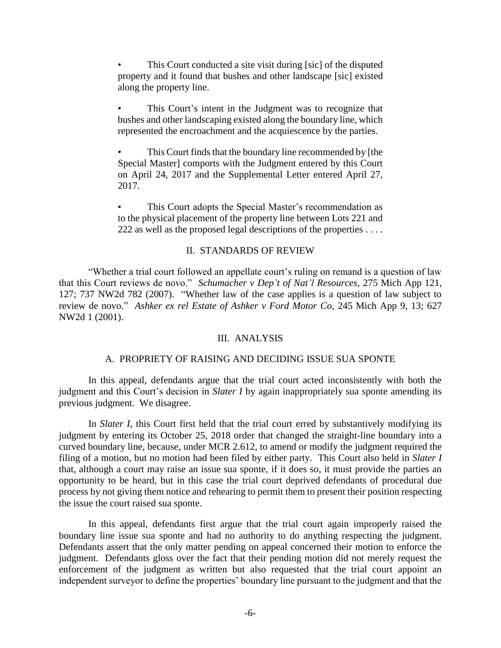This Court conducted a site visit during [sic] of the disputed property and it found that bushes and other landscape [sic] existed along the property line.

This Court's intent in the Judgment was to recognize that bushes and other landscaping existed along the boundary line, which represented the encroachment and the acquiescence by the parties.

This Court finds that the boundary line recommended by [the Special Master] comports with the Judgment entered by this Court on April 24, 2017 and the Supplemental Letter entered April 27, 2017.

This Court adopts the Special Master's recommendation as to the physical placement of the property line between Lots 221 and 222 as well as the proposed legal descriptions of the properties . . . .

### II. STANDARDS OF REVIEW

"Whether a trial court followed an appellate court's ruling on remand is a question of law that this Court reviews de novo." *Schumacher v Dep't of Nat'l Resources*, 275 Mich App 121, 127; 737 NW2d 782 (2007). "Whether law of the case applies is a question of law subject to review de novo." *Ashker ex rel Estate of Ashker v Ford Motor Co*, 245 Mich App 9, 13; 627 NW2d 1 (2001).

### III. ANALYSIS

#### A. PROPRIETY OF RAISING AND DECIDING ISSUE SUA SPONTE

In this appeal, defendants argue that the trial court acted inconsistently with both the judgment and this Court's decision in *Slater I* by again inappropriately sua sponte amending its previous judgment. We disagree.

In *Slater I*, this Court first held that the trial court erred by substantively modifying its judgment by entering its October 25, 2018 order that changed the straight-line boundary into a curved boundary line, because, under MCR 2.612, to amend or modify the judgment required the filing of a motion, but no motion had been filed by either party. This Court also held in *Slater I* that, although a court may raise an issue sua sponte, if it does so, it must provide the parties an opportunity to be heard, but in this case the trial court deprived defendants of procedural due process by not giving them notice and rehearing to permit them to present their position respecting the issue the court raised sua sponte.

In this appeal, defendants first argue that the trial court again improperly raised the boundary line issue sua sponte and had no authority to do anything respecting the judgment. Defendants assert that the only matter pending on appeal concerned their motion to enforce the judgment. Defendants gloss over the fact that their pending motion did not merely request the enforcement of the judgment as written but also requested that the trial court appoint an independent surveyor to define the properties' boundary line pursuant to the judgment and that the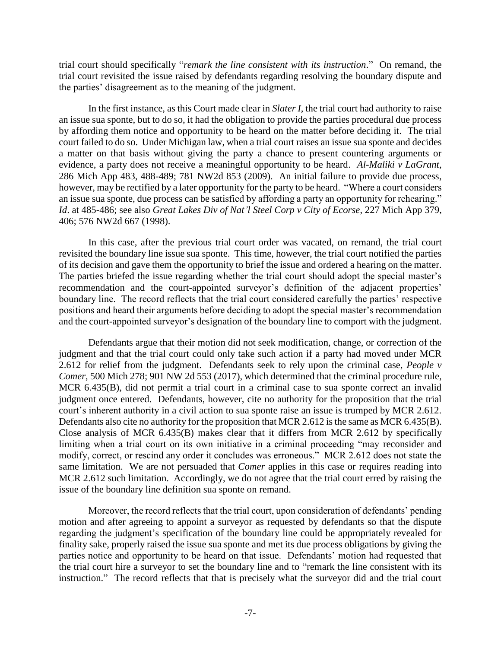trial court should specifically "*remark the line consistent with its instruction*." On remand, the trial court revisited the issue raised by defendants regarding resolving the boundary dispute and the parties' disagreement as to the meaning of the judgment.

In the first instance, as this Court made clear in *Slater I*, the trial court had authority to raise an issue sua sponte, but to do so, it had the obligation to provide the parties procedural due process by affording them notice and opportunity to be heard on the matter before deciding it. The trial court failed to do so. Under Michigan law, when a trial court raises an issue sua sponte and decides a matter on that basis without giving the party a chance to present countering arguments or evidence, a party does not receive a meaningful opportunity to be heard. *Al-Maliki v LaGrant*, 286 Mich App 483, 488-489; 781 NW2d 853 (2009). An initial failure to provide due process, however, may be rectified by a later opportunity for the party to be heard. "Where a court considers an issue sua sponte, due process can be satisfied by affording a party an opportunity for rehearing." *Id*. at 485-486; see also *Great Lakes Div of Nat'l Steel Corp v City of Ecorse*, 227 Mich App 379, 406; 576 NW2d 667 (1998).

In this case, after the previous trial court order was vacated, on remand, the trial court revisited the boundary line issue sua sponte. This time, however, the trial court notified the parties of its decision and gave them the opportunity to brief the issue and ordered a hearing on the matter. The parties briefed the issue regarding whether the trial court should adopt the special master's recommendation and the court-appointed surveyor's definition of the adjacent properties' boundary line. The record reflects that the trial court considered carefully the parties' respective positions and heard their arguments before deciding to adopt the special master's recommendation and the court-appointed surveyor's designation of the boundary line to comport with the judgment.

Defendants argue that their motion did not seek modification, change, or correction of the judgment and that the trial court could only take such action if a party had moved under MCR 2.612 for relief from the judgment. Defendants seek to rely upon the criminal case, *People v Comer*, 500 Mich 278; 901 NW 2d 553 (2017), which determined that the criminal procedure rule, MCR 6.435(B), did not permit a trial court in a criminal case to sua sponte correct an invalid judgment once entered. Defendants, however, cite no authority for the proposition that the trial court's inherent authority in a civil action to sua sponte raise an issue is trumped by MCR 2.612. Defendants also cite no authority for the proposition that MCR 2.612 is the same as MCR 6.435(B). Close analysis of MCR 6.435(B) makes clear that it differs from MCR 2.612 by specifically limiting when a trial court on its own initiative in a criminal proceeding "may reconsider and modify, correct, or rescind any order it concludes was erroneous." MCR 2.612 does not state the same limitation. We are not persuaded that *Comer* applies in this case or requires reading into MCR 2.612 such limitation. Accordingly, we do not agree that the trial court erred by raising the issue of the boundary line definition sua sponte on remand.

Moreover, the record reflects that the trial court, upon consideration of defendants' pending motion and after agreeing to appoint a surveyor as requested by defendants so that the dispute regarding the judgment's specification of the boundary line could be appropriately revealed for finality sake, properly raised the issue sua sponte and met its due process obligations by giving the parties notice and opportunity to be heard on that issue. Defendants' motion had requested that the trial court hire a surveyor to set the boundary line and to "remark the line consistent with its instruction." The record reflects that that is precisely what the surveyor did and the trial court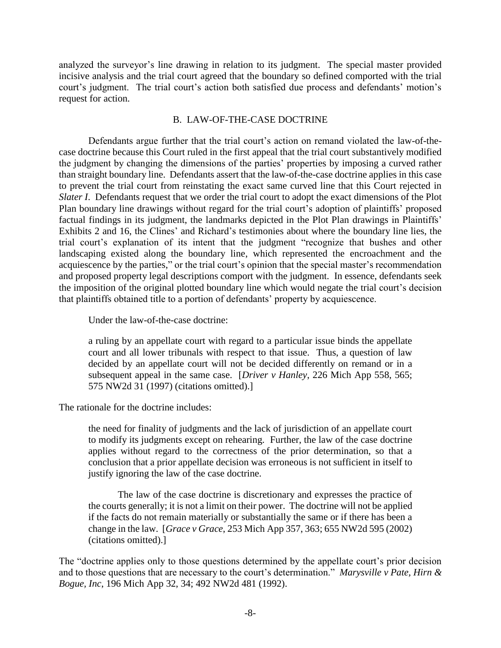analyzed the surveyor's line drawing in relation to its judgment. The special master provided incisive analysis and the trial court agreed that the boundary so defined comported with the trial court's judgment. The trial court's action both satisfied due process and defendants' motion's request for action.

#### B. LAW-OF-THE-CASE DOCTRINE

Defendants argue further that the trial court's action on remand violated the law-of-thecase doctrine because this Court ruled in the first appeal that the trial court substantively modified the judgment by changing the dimensions of the parties' properties by imposing a curved rather than straight boundary line. Defendants assert that the law-of-the-case doctrine applies in this case to prevent the trial court from reinstating the exact same curved line that this Court rejected in *Slater I*. Defendants request that we order the trial court to adopt the exact dimensions of the Plot Plan boundary line drawings without regard for the trial court's adoption of plaintiffs' proposed factual findings in its judgment, the landmarks depicted in the Plot Plan drawings in Plaintiffs' Exhibits 2 and 16, the Clines' and Richard's testimonies about where the boundary line lies, the trial court's explanation of its intent that the judgment "recognize that bushes and other landscaping existed along the boundary line, which represented the encroachment and the acquiescence by the parties," or the trial court's opinion that the special master's recommendation and proposed property legal descriptions comport with the judgment. In essence, defendants seek the imposition of the original plotted boundary line which would negate the trial court's decision that plaintiffs obtained title to a portion of defendants' property by acquiescence.

Under the law-of-the-case doctrine:

a ruling by an appellate court with regard to a particular issue binds the appellate court and all lower tribunals with respect to that issue. Thus, a question of law decided by an appellate court will not be decided differently on remand or in a subsequent appeal in the same case. [*Driver v Hanley*, 226 Mich App 558, 565; 575 NW2d 31 (1997) (citations omitted).]

The rationale for the doctrine includes:

the need for finality of judgments and the lack of jurisdiction of an appellate court to modify its judgments except on rehearing. Further, the law of the case doctrine applies without regard to the correctness of the prior determination, so that a conclusion that a prior appellate decision was erroneous is not sufficient in itself to justify ignoring the law of the case doctrine.

The law of the case doctrine is discretionary and expresses the practice of the courts generally; it is not a limit on their power. The doctrine will not be applied if the facts do not remain materially or substantially the same or if there has been a change in the law. [*Grace v Grace*, 253 Mich App 357, 363; 655 NW2d 595 (2002) (citations omitted).]

The "doctrine applies only to those questions determined by the appellate court's prior decision and to those questions that are necessary to the court's determination." *Marysville v Pate, Hirn & Bogue, Inc*, 196 Mich App 32, 34; 492 NW2d 481 (1992).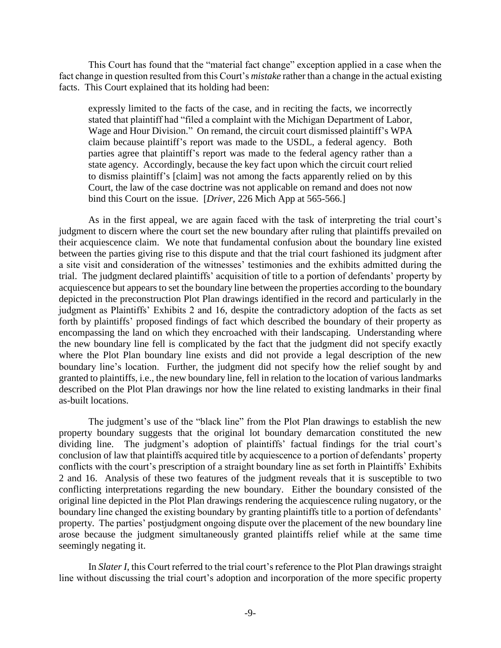This Court has found that the "material fact change" exception applied in a case when the fact change in question resulted from this Court's *mistake* rather than a change in the actual existing facts. This Court explained that its holding had been:

expressly limited to the facts of the case, and in reciting the facts, we incorrectly stated that plaintiff had "filed a complaint with the Michigan Department of Labor, Wage and Hour Division." On remand, the circuit court dismissed plaintiff's WPA claim because plaintiff's report was made to the USDL, a federal agency. Both parties agree that plaintiff's report was made to the federal agency rather than a state agency. Accordingly, because the key fact upon which the circuit court relied to dismiss plaintiff's [claim] was not among the facts apparently relied on by this Court, the law of the case doctrine was not applicable on remand and does not now bind this Court on the issue. [*Driver*, 226 Mich App at 565-566.]

As in the first appeal, we are again faced with the task of interpreting the trial court's judgment to discern where the court set the new boundary after ruling that plaintiffs prevailed on their acquiescence claim. We note that fundamental confusion about the boundary line existed between the parties giving rise to this dispute and that the trial court fashioned its judgment after a site visit and consideration of the witnesses' testimonies and the exhibits admitted during the trial. The judgment declared plaintiffs' acquisition of title to a portion of defendants' property by acquiescence but appears to set the boundary line between the properties according to the boundary depicted in the preconstruction Plot Plan drawings identified in the record and particularly in the judgment as Plaintiffs' Exhibits 2 and 16, despite the contradictory adoption of the facts as set forth by plaintiffs' proposed findings of fact which described the boundary of their property as encompassing the land on which they encroached with their landscaping. Understanding where the new boundary line fell is complicated by the fact that the judgment did not specify exactly where the Plot Plan boundary line exists and did not provide a legal description of the new boundary line's location. Further, the judgment did not specify how the relief sought by and granted to plaintiffs, i.e., the new boundary line, fell in relation to the location of various landmarks described on the Plot Plan drawings nor how the line related to existing landmarks in their final as-built locations.

The judgment's use of the "black line" from the Plot Plan drawings to establish the new property boundary suggests that the original lot boundary demarcation constituted the new dividing line. The judgment's adoption of plaintiffs' factual findings for the trial court's conclusion of law that plaintiffs acquired title by acquiescence to a portion of defendants' property conflicts with the court's prescription of a straight boundary line as set forth in Plaintiffs' Exhibits 2 and 16. Analysis of these two features of the judgment reveals that it is susceptible to two conflicting interpretations regarding the new boundary. Either the boundary consisted of the original line depicted in the Plot Plan drawings rendering the acquiescence ruling nugatory, or the boundary line changed the existing boundary by granting plaintiffs title to a portion of defendants' property. The parties' postjudgment ongoing dispute over the placement of the new boundary line arose because the judgment simultaneously granted plaintiffs relief while at the same time seemingly negating it.

In *Slater I*, this Court referred to the trial court's reference to the Plot Plan drawings straight line without discussing the trial court's adoption and incorporation of the more specific property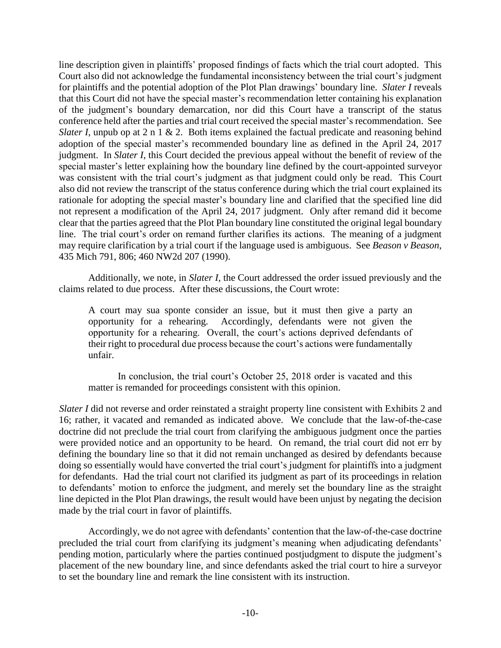line description given in plaintiffs' proposed findings of facts which the trial court adopted. This Court also did not acknowledge the fundamental inconsistency between the trial court's judgment for plaintiffs and the potential adoption of the Plot Plan drawings' boundary line. *Slater I* reveals that this Court did not have the special master's recommendation letter containing his explanation of the judgment's boundary demarcation, nor did this Court have a transcript of the status conference held after the parties and trial court received the special master's recommendation. See *Slater I*, unpub op at 2 n 1 & 2. Both items explained the factual predicate and reasoning behind adoption of the special master's recommended boundary line as defined in the April 24, 2017 judgment. In *Slater I*, this Court decided the previous appeal without the benefit of review of the special master's letter explaining how the boundary line defined by the court-appointed surveyor was consistent with the trial court's judgment as that judgment could only be read. This Court also did not review the transcript of the status conference during which the trial court explained its rationale for adopting the special master's boundary line and clarified that the specified line did not represent a modification of the April 24, 2017 judgment. Only after remand did it become clear that the parties agreed that the Plot Plan boundary line constituted the original legal boundary line. The trial court's order on remand further clarifies its actions. The meaning of a judgment may require clarification by a trial court if the language used is ambiguous. See *Beason v Beason*, 435 Mich 791, 806; 460 NW2d 207 (1990).

Additionally, we note, in *Slater I*, the Court addressed the order issued previously and the claims related to due process. After these discussions, the Court wrote:

A court may sua sponte consider an issue, but it must then give a party an opportunity for a rehearing. Accordingly, defendants were not given the opportunity for a rehearing. Overall, the court's actions deprived defendants of their right to procedural due process because the court's actions were fundamentally unfair.

In conclusion, the trial court's October 25, 2018 order is vacated and this matter is remanded for proceedings consistent with this opinion.

*Slater I* did not reverse and order reinstated a straight property line consistent with Exhibits 2 and 16; rather, it vacated and remanded as indicated above. We conclude that the law-of-the-case doctrine did not preclude the trial court from clarifying the ambiguous judgment once the parties were provided notice and an opportunity to be heard. On remand, the trial court did not err by defining the boundary line so that it did not remain unchanged as desired by defendants because doing so essentially would have converted the trial court's judgment for plaintiffs into a judgment for defendants. Had the trial court not clarified its judgment as part of its proceedings in relation to defendants' motion to enforce the judgment, and merely set the boundary line as the straight line depicted in the Plot Plan drawings, the result would have been unjust by negating the decision made by the trial court in favor of plaintiffs.

Accordingly, we do not agree with defendants' contention that the law-of-the-case doctrine precluded the trial court from clarifying its judgment's meaning when adjudicating defendants' pending motion, particularly where the parties continued postjudgment to dispute the judgment's placement of the new boundary line, and since defendants asked the trial court to hire a surveyor to set the boundary line and remark the line consistent with its instruction.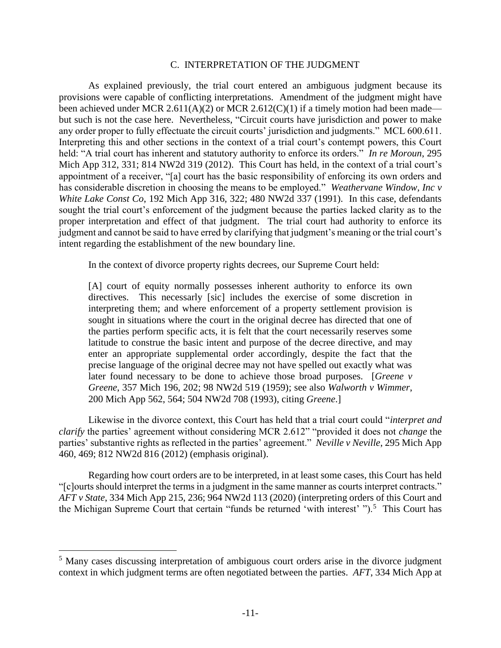#### C. INTERPRETATION OF THE JUDGMENT

As explained previously, the trial court entered an ambiguous judgment because its provisions were capable of conflicting interpretations. Amendment of the judgment might have been achieved under MCR 2.611(A)(2) or MCR 2.612(C)(1) if a timely motion had been made but such is not the case here. Nevertheless, "Circuit courts have jurisdiction and power to make any order proper to fully effectuate the circuit courts' jurisdiction and judgments." MCL 600.611. Interpreting this and other sections in the context of a trial court's contempt powers, this Court held: "A trial court has inherent and statutory authority to enforce its orders." *In re Moroun*, 295 Mich App 312, 331; 814 NW2d 319 (2012). This Court has held, in the context of a trial court's appointment of a receiver, "[a] court has the basic responsibility of enforcing its own orders and has considerable discretion in choosing the means to be employed." *Weathervane Window, Inc v White Lake Const Co*, 192 Mich App 316, 322; 480 NW2d 337 (1991). In this case, defendants sought the trial court's enforcement of the judgment because the parties lacked clarity as to the proper interpretation and effect of that judgment. The trial court had authority to enforce its judgment and cannot be said to have erred by clarifying that judgment's meaning or the trial court's intent regarding the establishment of the new boundary line.

In the context of divorce property rights decrees, our Supreme Court held:

[A] court of equity normally possesses inherent authority to enforce its own directives. This necessarly [sic] includes the exercise of some discretion in interpreting them; and where enforcement of a property settlement provision is sought in situations where the court in the original decree has directed that one of the parties perform specific acts, it is felt that the court necessarily reserves some latitude to construe the basic intent and purpose of the decree directive, and may enter an appropriate supplemental order accordingly, despite the fact that the precise language of the original decree may not have spelled out exactly what was later found necessary to be done to achieve those broad purposes. [*Greene v Greene*, 357 Mich 196, 202; 98 NW2d 519 (1959); see also *Walworth v Wimmer*, 200 Mich App 562, 564; 504 NW2d 708 (1993), citing *Greene*.]

Likewise in the divorce context, this Court has held that a trial court could "*interpret and clarify* the parties' agreement without considering MCR 2.612" "provided it does not *change* the parties' substantive rights as reflected in the parties' agreement." *Neville v Neville*, 295 Mich App 460, 469; 812 NW2d 816 (2012) (emphasis original).

Regarding how court orders are to be interpreted, in at least some cases, this Court has held "[c]ourts should interpret the terms in a judgment in the same manner as courts interpret contracts." *AFT v State*, 334 Mich App 215, 236; 964 NW2d 113 (2020) (interpreting orders of this Court and the Michigan Supreme Court that certain "funds be returned 'with interest' ").<sup>5</sup> This Court has

 $\overline{a}$ 

<sup>&</sup>lt;sup>5</sup> Many cases discussing interpretation of ambiguous court orders arise in the divorce judgment context in which judgment terms are often negotiated between the parties. *AFT*, 334 Mich App at